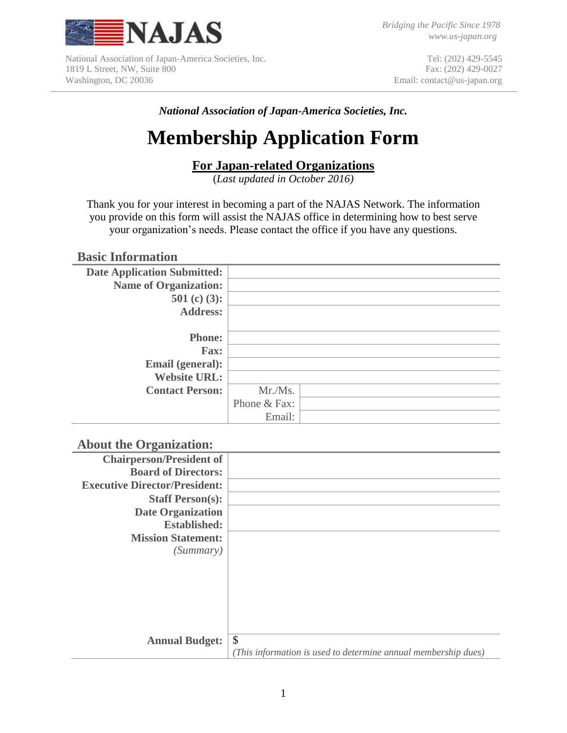

National Association of Japan-America Societies, Inc. 1819 L Street, NW, Suite 800 Washington, DC 20036

Tel: (202) 429-5545 Fax: (202) 429-0027 Email: contact@us-japan.org

*National Association of Japan-America Societies, Inc.*

# **Membership Application Form**

## **For Japan-related Organizations**

(*Last updated in October 2016)*

Thank you for your interest in becoming a part of the NAJAS Network. The information you provide on this form will assist the NAJAS office in determining how to best serve your organization's needs. Please contact the office if you have any questions.

### **Basic Information**

| <b>Date Application Submitted:</b> |              |  |
|------------------------------------|--------------|--|
| <b>Name of Organization:</b>       |              |  |
| 501 (c) (3):                       |              |  |
| <b>Address:</b>                    |              |  |
|                                    |              |  |
| <b>Phone:</b>                      |              |  |
| <b>Fax:</b>                        |              |  |
| Email (general):                   |              |  |
| <b>Website URL:</b>                |              |  |
| <b>Contact Person:</b>             | Mr./Ms.      |  |
|                                    | Phone & Fax: |  |
|                                    | Email:       |  |

### **About the Organization:**

| <b>Chairperson/President of</b>      |                                                                |
|--------------------------------------|----------------------------------------------------------------|
| <b>Board of Directors:</b>           |                                                                |
| <b>Executive Director/President:</b> |                                                                |
| <b>Staff Person(s):</b>              |                                                                |
| <b>Date Organization</b>             |                                                                |
| <b>Established:</b>                  |                                                                |
| <b>Mission Statement:</b>            |                                                                |
| (Summary)                            |                                                                |
|                                      |                                                                |
|                                      |                                                                |
|                                      |                                                                |
|                                      |                                                                |
|                                      |                                                                |
|                                      |                                                                |
| <b>Annual Budget:</b>                | \$                                                             |
|                                      | (This information is used to determine annual membership dues) |